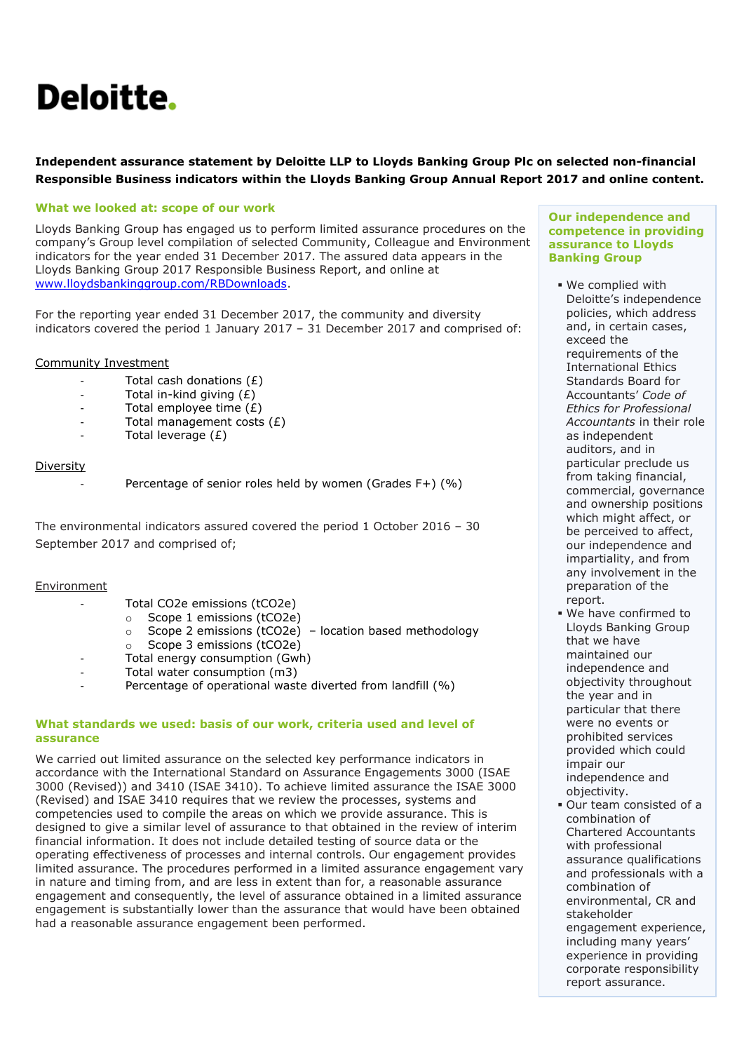# Deloitte.

# **Independent assurance statement by Deloitte LLP to Lloyds Banking Group Plc on selected non-financial Responsible Business indicators within the Lloyds Banking Group Annual Report 2017 and online content.**

# **What we looked at: scope of our work**

Lloyds Banking Group has engaged us to perform limited assurance procedures on the company's Group level compilation of selected Community, Colleague and Environment indicators for the year ended 31 December 2017. The assured data appears in the Lloyds Banking Group 2017 Responsible Business Report, and online at [www.lloydsbankinggroup.com/RBDownloads.](http://www.lloydsbankinggroup.com/RBDownloads)

For the reporting year ended 31 December 2017, the community and diversity indicators covered the period 1 January 2017 – 31 December 2017 and comprised of:

#### Community Investment

- Total cash donations (£)
- Total in-kind giving  $(E)$
- $-$  Total employee time  $(E)$
- Total management costs  $(E)$
- Total leverage  $(E)$

#### Diversity

Percentage of senior roles held by women (Grades F+) (%)

The environmental indicators assured covered the period 1 October 2016 – 30 September 2017 and comprised of;

## Environment

- Total CO2e emissions (tCO2e)
	- o Scope 1 emissions (tCO2e)
		- o Scope 2 emissions (tCO2e) location based methodology
		- o Scope 3 emissions (tCO2e)
- Total energy consumption (Gwh)
- Total water consumption (m3)
- Percentage of operational waste diverted from landfill (%)

#### **What standards we used: basis of our work, criteria used and level of assurance**

We carried out limited assurance on the selected key performance indicators in accordance with the International Standard on Assurance Engagements 3000 (ISAE 3000 (Revised)) and 3410 (ISAE 3410). To achieve limited assurance the ISAE 3000 (Revised) and ISAE 3410 requires that we review the processes, systems and competencies used to compile the areas on which we provide assurance. This is designed to give a similar level of assurance to that obtained in the review of interim financial information. It does not include detailed testing of source data or the operating effectiveness of processes and internal controls. Our engagement provides limited assurance. The procedures performed in a limited assurance engagement vary in nature and timing from, and are less in extent than for, a reasonable assurance engagement and consequently, the level of assurance obtained in a limited assurance engagement is substantially lower than the assurance that would have been obtained had a reasonable assurance engagement been performed.

#### **Our independence and competence in providing assurance to Lloyds Banking Group**

- We complied with Deloitte's independence policies, which address and, in certain cases, exceed the requirements of the International Ethics Standards Board for Accountants' *Code of Ethics for Professional Accountants* in their role as independent auditors, and in particular preclude us from taking financial, commercial, governance and ownership positions which might affect, or be perceived to affect, our independence and impartiality, and from any involvement in the preparation of the report.
- We have confirmed to Lloyds Banking Group that we have maintained our independence and objectivity throughout the year and in particular that there were no events or prohibited services provided which could impair our independence and objectivity.
- Our team consisted of a combination of Chartered Accountants with professional assurance qualifications and professionals with a combination of environmental, CR and stakeholder engagement experience, including many years' experience in providing corporate responsibility report assurance.